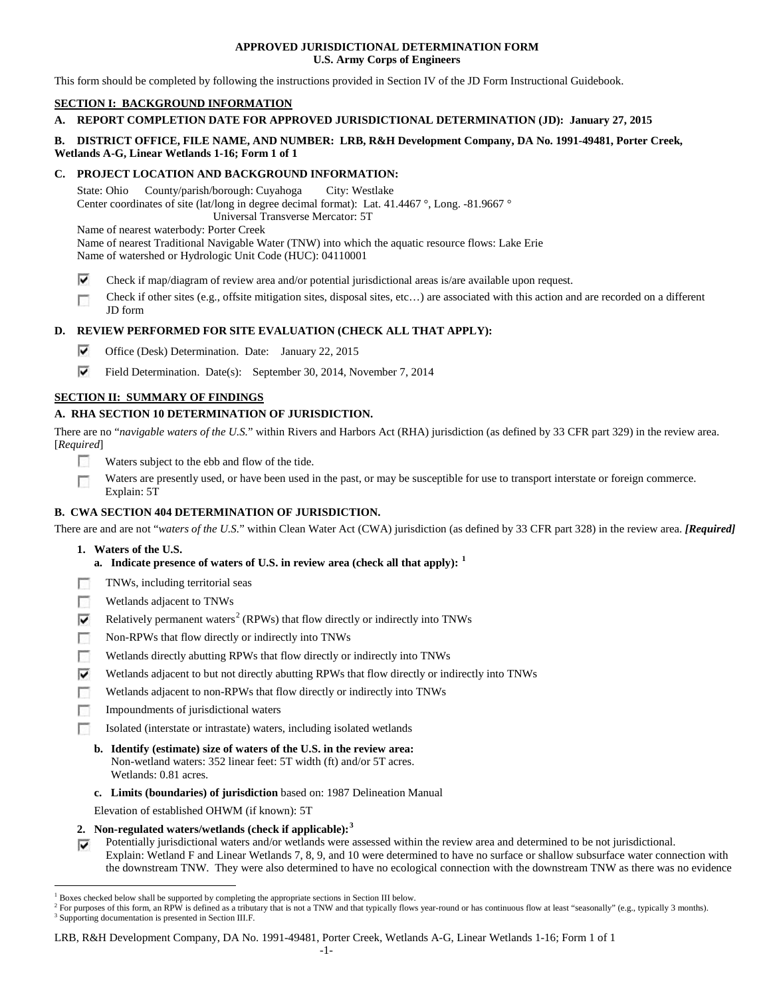### **APPROVED JURISDICTIONAL DETERMINATION FORM U.S. Army Corps of Engineers**

This form should be completed by following the instructions provided in Section IV of the JD Form Instructional Guidebook.

# **SECTION I: BACKGROUND INFORMATION**

# **A. REPORT COMPLETION DATE FOR APPROVED JURISDICTIONAL DETERMINATION (JD): January 27, 2015**

## **B. DISTRICT OFFICE, FILE NAME, AND NUMBER: LRB, R&H Development Company, DA No. 1991-49481, Porter Creek, Wetlands A-G, Linear Wetlands 1-16; Form 1 of 1**

### **C. PROJECT LOCATION AND BACKGROUND INFORMATION:**

State: Ohio County/parish/borough: Cuyahoga City: Westlake Center coordinates of site (lat/long in degree decimal format): Lat. 41.4467 °, Long. -81.9667 ° Universal Transverse Mercator: 5T

Name of nearest waterbody: Porter Creek

Name of nearest Traditional Navigable Water (TNW) into which the aquatic resource flows: Lake Erie Name of watershed or Hydrologic Unit Code (HUC): 04110001

- ⊽ Check if map/diagram of review area and/or potential jurisdictional areas is/are available upon request.
- Check if other sites (e.g., offsite mitigation sites, disposal sites, etc…) are associated with this action and are recorded on a different Г JD form

## **D. REVIEW PERFORMED FOR SITE EVALUATION (CHECK ALL THAT APPLY):**

- ⊽ Office (Desk) Determination. Date: January 22, 2015
- ⊽ Field Determination. Date(s): September 30, 2014, November 7, 2014

## **SECTION II: SUMMARY OF FINDINGS**

# **A. RHA SECTION 10 DETERMINATION OF JURISDICTION.**

There are no "*navigable waters of the U.S.*" within Rivers and Harbors Act (RHA) jurisdiction (as defined by 33 CFR part 329) in the review area. [*Required*]

- **IST** Waters subject to the ebb and flow of the tide.
- Waters are presently used, or have been used in the past, or may be susceptible for use to transport interstate or foreign commerce. Г Explain: 5T

## **B. CWA SECTION 404 DETERMINATION OF JURISDICTION.**

There are and are not "*waters of the U.S.*" within Clean Water Act (CWA) jurisdiction (as defined by 33 CFR part 328) in the review area. *[Required]*

- **1. Waters of the U.S.**
	- **a. Indicate presence of waters of U.S. in review area (check all that apply): [1](#page-0-0)**
- TNWs, including territorial seas г
- Wetlands adjacent to TNWs п
- ⊽ Relatively permanent waters<sup>[2](#page-0-1)</sup> (RPWs) that flow directly or indirectly into TNWs
- г Non-RPWs that flow directly or indirectly into TNWs
- Wetlands directly abutting RPWs that flow directly or indirectly into TNWs п
- ⊽ Wetlands adjacent to but not directly abutting RPWs that flow directly or indirectly into TNWs
- Wetlands adjacent to non-RPWs that flow directly or indirectly into TNWs г
- г Impoundments of jurisdictional waters
- Isolated (interstate or intrastate) waters, including isolated wetlands n.
	- **b. Identify (estimate) size of waters of the U.S. in the review area:** Non-wetland waters: 352 linear feet: 5T width (ft) and/or 5T acres. Wetlands: 0.81 acres.
	- **c. Limits (boundaries) of jurisdiction** based on: 1987 Delineation Manual
	- Elevation of established OHWM (if known): 5T
- **2. Non-regulated waters/wetlands (check if applicable): [3](#page-0-2)**
- Potentially jurisdictional waters and/or wetlands were assessed within the review area and determined to be not jurisdictional. Explain: Wetland F and Linear Wetlands 7, 8, 9, and 10 were determined to have no surface or shallow subsurface water connection with the downstream TNW. They were also determined to have no ecological connection with the downstream TNW as there was no evidence

<span id="page-0-0"></span><sup>&</sup>lt;sup>1</sup> Boxes checked below shall be supported by completing the appropriate sections in Section III below.

<span id="page-0-2"></span><span id="page-0-1"></span> $^2$  For purposes of this form, an RPW is defined as a tributary that is not a TNW and that typically flows year-round or has continuous flow at least "seasonally" (e.g., typically 3 months). 3 Supporting documentation is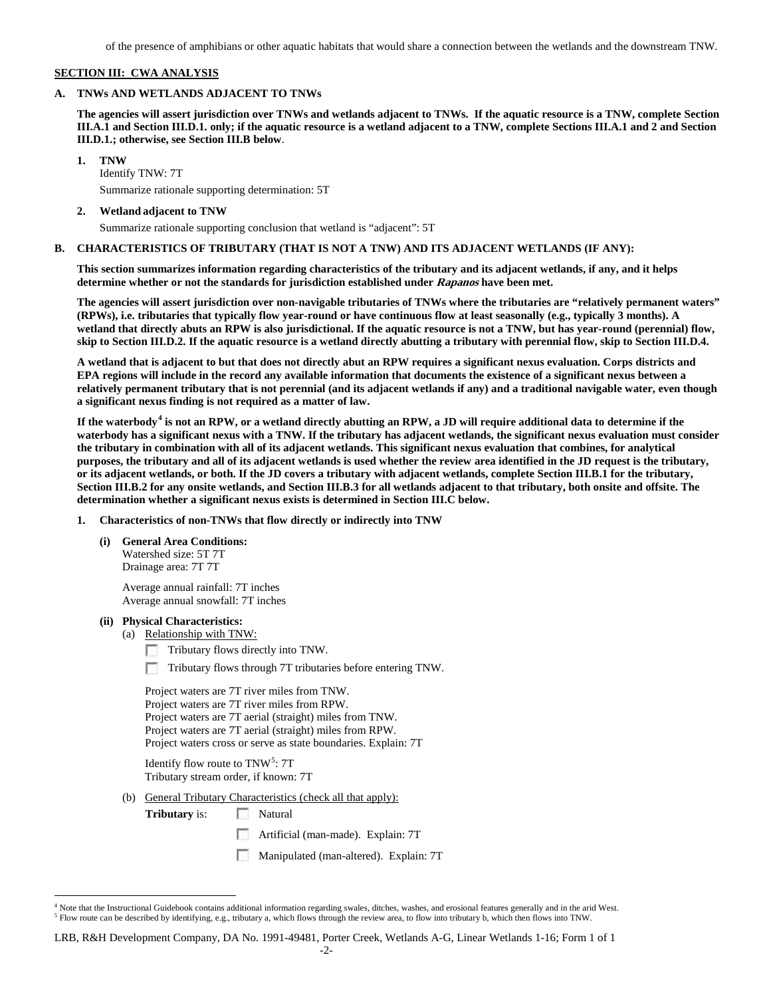of the presence of amphibians or other aquatic habitats that would share a connection between the wetlands and the downstream TNW.

### **SECTION III: CWA ANALYSIS**

### **A. TNWs AND WETLANDS ADJACENT TO TNWs**

**The agencies will assert jurisdiction over TNWs and wetlands adjacent to TNWs. If the aquatic resource is a TNW, complete Section III.A.1 and Section III.D.1. only; if the aquatic resource is a wetland adjacent to a TNW, complete Sections III.A.1 and 2 and Section III.D.1.; otherwise, see Section III.B below**.

**1. TNW** 

Identify TNW: 7T Summarize rationale supporting determination: 5T

### **2. Wetland adjacent to TNW**

Summarize rationale supporting conclusion that wetland is "adjacent": 5T

### **B. CHARACTERISTICS OF TRIBUTARY (THAT IS NOT A TNW) AND ITS ADJACENT WETLANDS (IF ANY):**

**This section summarizes information regarding characteristics of the tributary and its adjacent wetlands, if any, and it helps determine whether or not the standards for jurisdiction established under Rapanos have been met.** 

**The agencies will assert jurisdiction over non-navigable tributaries of TNWs where the tributaries are "relatively permanent waters" (RPWs), i.e. tributaries that typically flow year-round or have continuous flow at least seasonally (e.g., typically 3 months). A wetland that directly abuts an RPW is also jurisdictional. If the aquatic resource is not a TNW, but has year-round (perennial) flow, skip to Section III.D.2. If the aquatic resource is a wetland directly abutting a tributary with perennial flow, skip to Section III.D.4.**

**A wetland that is adjacent to but that does not directly abut an RPW requires a significant nexus evaluation. Corps districts and EPA regions will include in the record any available information that documents the existence of a significant nexus between a relatively permanent tributary that is not perennial (and its adjacent wetlands if any) and a traditional navigable water, even though a significant nexus finding is not required as a matter of law.**

**If the waterbody[4](#page-1-0) is not an RPW, or a wetland directly abutting an RPW, a JD will require additional data to determine if the waterbody has a significant nexus with a TNW. If the tributary has adjacent wetlands, the significant nexus evaluation must consider the tributary in combination with all of its adjacent wetlands. This significant nexus evaluation that combines, for analytical purposes, the tributary and all of its adjacent wetlands is used whether the review area identified in the JD request is the tributary, or its adjacent wetlands, or both. If the JD covers a tributary with adjacent wetlands, complete Section III.B.1 for the tributary, Section III.B.2 for any onsite wetlands, and Section III.B.3 for all wetlands adjacent to that tributary, both onsite and offsite. The determination whether a significant nexus exists is determined in Section III.C below.**

### **1. Characteristics of non-TNWs that flow directly or indirectly into TNW**

**(i) General Area Conditions:** Watershed size: 5T 7T Drainage area: 7T 7T

> Average annual rainfall: 7T inches Average annual snowfall: 7T inches

# **(ii) Physical Characteristics:**

(a) Relationship with TNW:

- Tributary flows directly into TNW.
- Tributary flows through 7T tributaries before entering TNW.

Project waters are 7T river miles from TNW. Project waters are 7T river miles from RPW. Project waters are 7T aerial (straight) miles from TNW. Project waters are 7T aerial (straight) miles from RPW. Project waters cross or serve as state boundaries. Explain: 7T

| Identify flow route to $TNW^5$ : 7T  |  |
|--------------------------------------|--|
| Tributary stream order, if known: 7T |  |

(b) General Tributary Characteristics (check all that apply):

**Tributary** is:  $\Box$  Natural

- **Artificial (man-made). Explain: 7T**
- n Manipulated (man-altered). Explain: 7T

<span id="page-1-1"></span><span id="page-1-0"></span> $4$  Note that the Instructional Guidebook contains additional information regarding swales, ditches, washes, and erosional features generally and in the arid West.<br> $5$  Flow route can be described by identifying, e.g., tri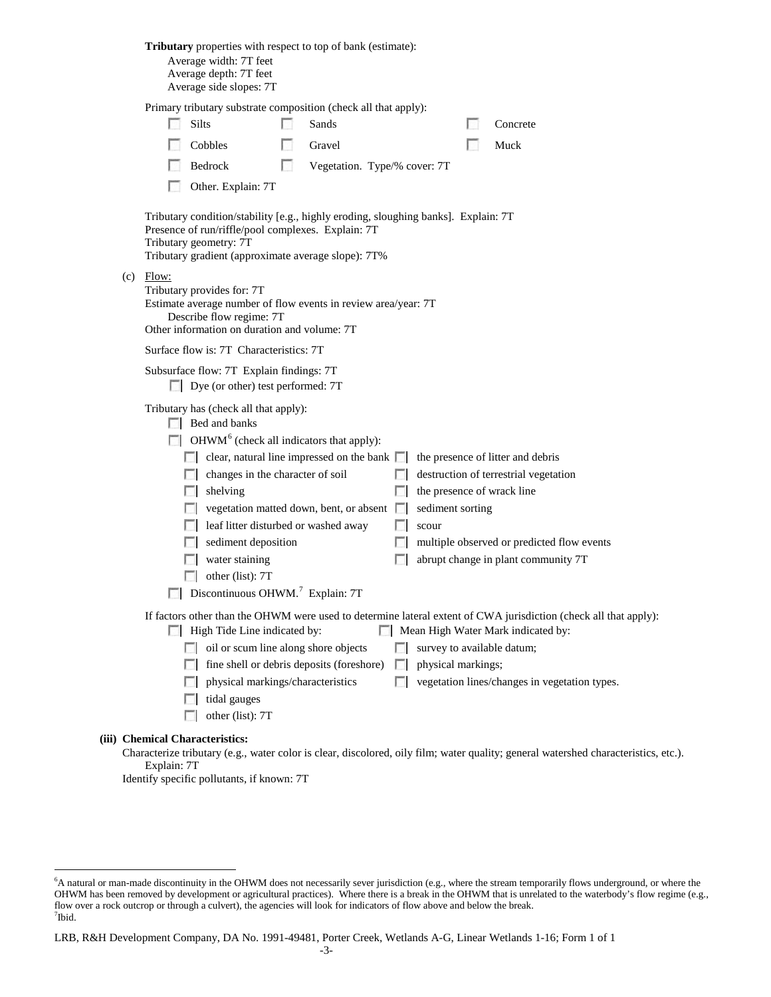|             | <b>Tributary</b> properties with respect to top of bank (estimate):<br>Average width: 7T feet<br>Average depth: 7T feet<br>Average side slopes: 7T                                                                                                                                                                         |    |                                                                                                    |                             |                                                         |                                                                                                                                                                                                         |
|-------------|----------------------------------------------------------------------------------------------------------------------------------------------------------------------------------------------------------------------------------------------------------------------------------------------------------------------------|----|----------------------------------------------------------------------------------------------------|-----------------------------|---------------------------------------------------------|---------------------------------------------------------------------------------------------------------------------------------------------------------------------------------------------------------|
|             | Primary tributary substrate composition (check all that apply):<br>Silts                                                                                                                                                                                                                                                   |    | Sands                                                                                              |                             |                                                         | Concrete                                                                                                                                                                                                |
|             | Cobbles                                                                                                                                                                                                                                                                                                                    |    | Gravel                                                                                             |                             |                                                         | Muck                                                                                                                                                                                                    |
|             | Bedrock                                                                                                                                                                                                                                                                                                                    | L. | Vegetation. Type/% cover: 7T                                                                       |                             |                                                         |                                                                                                                                                                                                         |
|             | Other. Explain: 7T                                                                                                                                                                                                                                                                                                         |    |                                                                                                    |                             |                                                         |                                                                                                                                                                                                         |
|             | Tributary condition/stability [e.g., highly eroding, sloughing banks]. Explain: 7T<br>Presence of run/riffle/pool complexes. Explain: 7T<br>Tributary geometry: 7T<br>Tributary gradient (approximate average slope): 7T%                                                                                                  |    |                                                                                                    |                             |                                                         |                                                                                                                                                                                                         |
| $(c)$ Flow: | Tributary provides for: 7T<br>Estimate average number of flow events in review area/year: 7T<br>Describe flow regime: 7T<br>Other information on duration and volume: 7T                                                                                                                                                   |    |                                                                                                    |                             |                                                         |                                                                                                                                                                                                         |
|             | Surface flow is: 7T Characteristics: 7T                                                                                                                                                                                                                                                                                    |    |                                                                                                    |                             |                                                         |                                                                                                                                                                                                         |
|             | Subsurface flow: 7T Explain findings: 7T<br>Dye (or other) test performed: 7T                                                                                                                                                                                                                                              |    |                                                                                                    |                             |                                                         |                                                                                                                                                                                                         |
|             | Tributary has (check all that apply):<br>Bed and banks<br>$\Box$ OHWM <sup>6</sup> (check all indicators that apply):<br>changes in the character of soil<br>shelving<br>leaf litter disturbed or washed away<br>sediment deposition<br>water staining<br>other (list): 7T<br>Discontinuous OHWM. <sup>7</sup> Explain: 7T |    | clear, natural line impressed on the bank $\Box$<br>vegetation matted down, bent, or absent $\Box$ | L.                          | the presence of wrack line<br>sediment sorting<br>scour | the presence of litter and debris<br>destruction of terrestrial vegetation<br>multiple observed or predicted flow events<br>abrupt change in plant community 7T                                         |
|             | High Tide Line indicated by:<br>oil or scum line along shore objects<br>physical markings/characteristics<br>tidal gauges<br>other (list): 7T                                                                                                                                                                              |    | fine shell or debris deposits (foreshore)                                                          | <b>FOR</b><br>$\mathcal{L}$ | survey to available datum;<br>physical markings;        | If factors other than the OHWM were used to determine lateral extent of CWA jurisdiction (check all that apply):<br>Mean High Water Mark indicated by:<br>vegetation lines/changes in vegetation types. |
|             | (iii) Chemical Characteristics:                                                                                                                                                                                                                                                                                            |    |                                                                                                    |                             |                                                         |                                                                                                                                                                                                         |

Characterize tributary (e.g., water color is clear, discolored, oily film; water quality; general watershed characteristics, etc.). Explain: 7T

Identify specific pollutants, if known: 7T

<span id="page-2-1"></span><span id="page-2-0"></span> <sup>6</sup> <sup>6</sup>A natural or man-made discontinuity in the OHWM does not necessarily sever jurisdiction (e.g., where the stream temporarily flows underground, or where the OHWM has been removed by development or agricultural practices). Where there is a break in the OHWM that is unrelated to the waterbody's flow regime (e.g., flow over a rock outcrop or through a culvert), the agencies will look for indicators of flow above and below the break. 7 Ibid.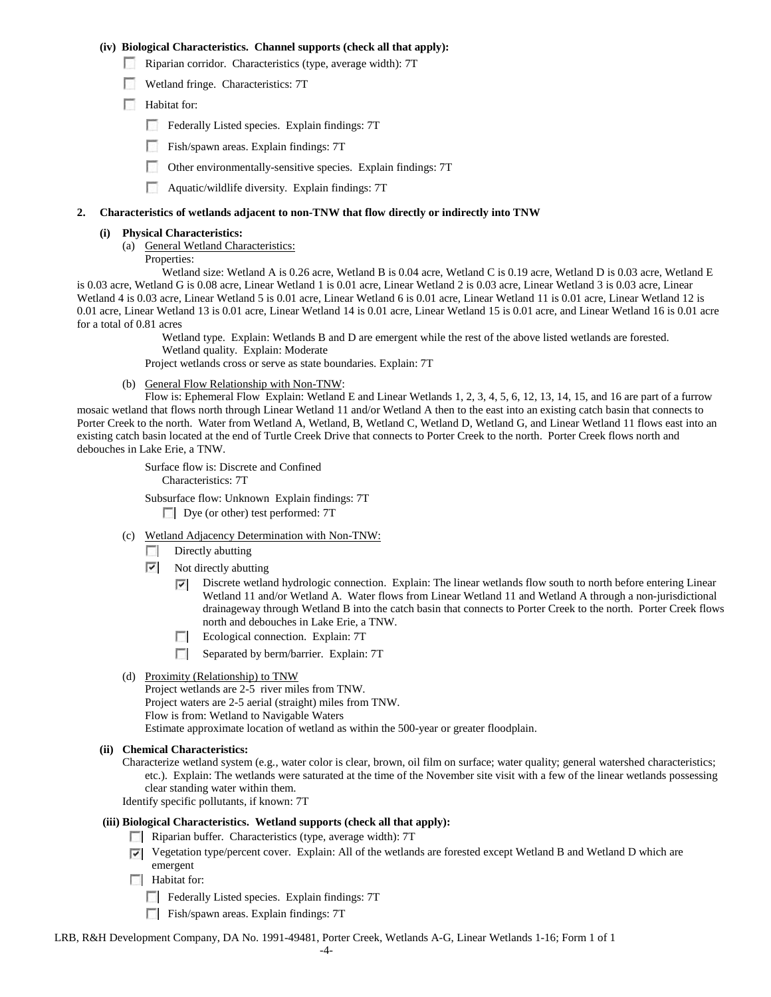### **(iv) Biological Characteristics. Channel supports (check all that apply):**

- Riparian corridor. Characteristics (type, average width): 7T
- Wetland fringe. Characteristics: 7T
- Habitat for:
	- Federally Listed species. Explain findings: 7T
	- Fish/spawn areas. Explain findings: 7T
	- Other environmentally-sensitive species. Explain findings: 7T
	- Aquatic/wildlife diversity. Explain findings: 7T

#### **2. Characteristics of wetlands adjacent to non-TNW that flow directly or indirectly into TNW**

#### **(i) Physical Characteristics:**

- (a) General Wetland Characteristics:
	- Properties:

Wetland size: Wetland A is 0.26 acre, Wetland B is 0.04 acre, Wetland C is 0.19 acre, Wetland D is 0.03 acre, Wetland E is 0.03 acre, Wetland G is 0.08 acre, Linear Wetland 1 is 0.01 acre, Linear Wetland 2 is 0.03 acre, Linear Wetland 3 is 0.03 acre, Linear Wetland 4 is 0.03 acre, Linear Wetland 5 is 0.01 acre, Linear Wetland 6 is 0.01 acre, Linear Wetland 11 is 0.01 acre, Linear Wetland 12 is 0.01 acre, Linear Wetland 13 is 0.01 acre, Linear Wetland 14 is 0.01 acre, Linear Wetland 15 is 0.01 acre, and Linear Wetland 16 is 0.01 acre for a total of 0.81 acres

Wetland type. Explain: Wetlands B and D are emergent while the rest of the above listed wetlands are forested. Wetland quality. Explain: Moderate

Project wetlands cross or serve as state boundaries. Explain: 7T

(b) General Flow Relationship with Non-TNW:

Flow is: Ephemeral Flow Explain: Wetland E and Linear Wetlands 1, 2, 3, 4, 5, 6, 12, 13, 14, 15, and 16 are part of a furrow mosaic wetland that flows north through Linear Wetland 11 and/or Wetland A then to the east into an existing catch basin that connects to Porter Creek to the north. Water from Wetland A, Wetland, B, Wetland C, Wetland D, Wetland G, and Linear Wetland 11 flows east into an existing catch basin located at the end of Turtle Creek Drive that connects to Porter Creek to the north. Porter Creek flows north and debouches in Lake Erie, a TNW.

> Surface flow is: Discrete and Confined Characteristics: 7T

Subsurface flow: Unknown Explain findings: 7T Dye (or other) test performed: 7T

- (c) Wetland Adjacency Determination with Non-TNW:
	- $\Box$  Directly abutting
	- $\triangledown$  Not directly abutting
		- Discrete wetland hydrologic connection. Explain: The linear wetlands flow south to north before entering Linear  $\overline{\phantom{a}}$ Wetland 11 and/or Wetland A. Water flows from Linear Wetland 11 and Wetland A through a non-jurisdictional drainageway through Wetland B into the catch basin that connects to Porter Creek to the north. Porter Creek flows north and debouches in Lake Erie, a TNW.
		- Ecological connection. Explain: 7T
		- Separated by berm/barrier. Explain: 7T
- (d) Proximity (Relationship) to TNW

Project wetlands are 2-5 river miles from TNW. Project waters are 2-5 aerial (straight) miles from TNW. Flow is from: Wetland to Navigable Waters Estimate approximate location of wetland as within the 500-year or greater floodplain.

- **(ii) Chemical Characteristics:**
	- Characterize wetland system (e.g., water color is clear, brown, oil film on surface; water quality; general watershed characteristics; etc.). Explain: The wetlands were saturated at the time of the November site visit with a few of the linear wetlands possessing clear standing water within them.
	- Identify specific pollutants, if known: 7T
- **(iii) Biological Characteristics. Wetland supports (check all that apply):**
	- Riparian buffer. Characteristics (type, average width): 7T
	- Vegetation type/percent cover. Explain: All of the wetlands are forested except Wetland B and Wetland D which are emergent
	- Habitat for:
		- Federally Listed species. Explain findings: 7T
		- Fish/spawn areas. Explain findings: 7T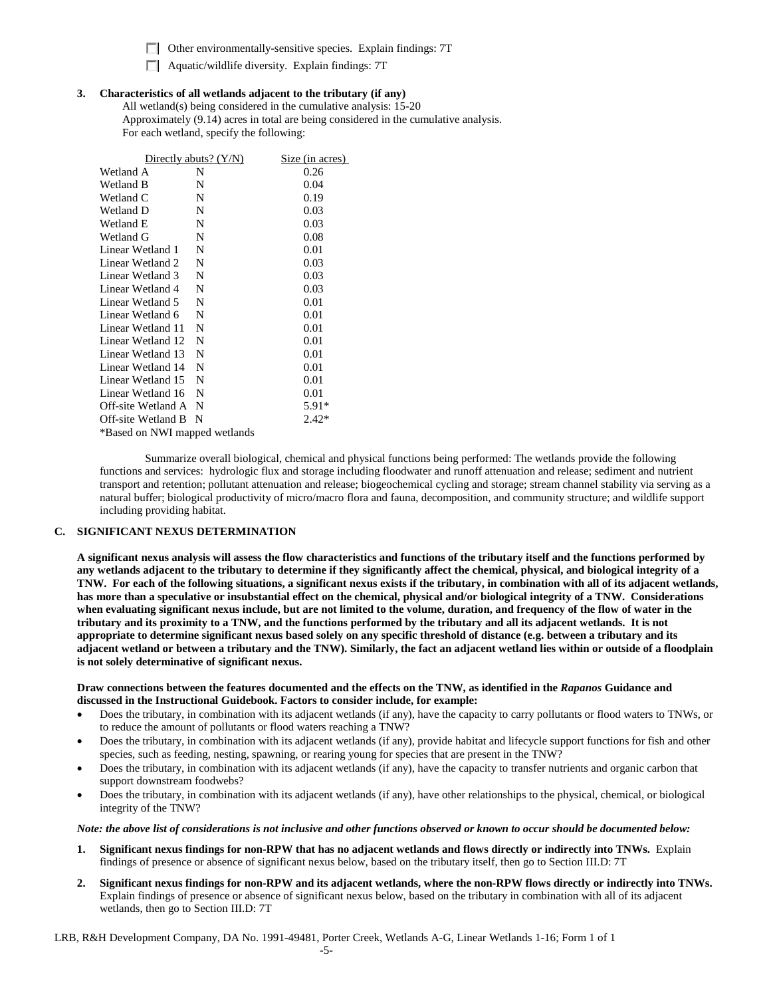Other environmentally-sensitive species. Explain findings: 7T

 $\Box$  Aquatic/wildlife diversity. Explain findings: 7T

### **3. Characteristics of all wetlands adjacent to the tributary (if any)**

All wetland(s) being considered in the cumulative analysis: 15-20 Approximately (9.14) acres in total are being considered in the cumulative analysis. For each wetland, specify the following:

|                               | Directly abuts? $(Y/N)$ | Size (in acres) |  |  |
|-------------------------------|-------------------------|-----------------|--|--|
| Wetland A                     | N                       | 0.26            |  |  |
| Wetland B                     | N                       | 0.04            |  |  |
| Wetland C                     | N                       | 0.19            |  |  |
| Wetland D                     | N                       | 0.03            |  |  |
| Wetland E                     | N                       | 0.03            |  |  |
| Wetland G                     | N                       | 0.08            |  |  |
| Linear Wetland 1              | N                       | 0.01            |  |  |
| Linear Wetland 2              | N                       | 0.03            |  |  |
| Linear Wetland 3              | N                       | 0.03            |  |  |
| Linear Wetland 4              | N                       | 0.03            |  |  |
| Linear Wetland 5              | N                       | 0.01            |  |  |
| Linear Wetland 6              | N                       | 0.01            |  |  |
| Linear Wetland 11             | N                       | 0.01            |  |  |
| Linear Wetland 12             | N                       | 0.01            |  |  |
| Linear Wetland 13             | N                       | 0.01            |  |  |
| Linear Wetland 14             | N                       | 0.01            |  |  |
| Linear Wetland 15             | N                       | 0.01            |  |  |
| Linear Wetland 16             | N                       | 0.01            |  |  |
| Off-site Wetland A            | N                       | $5.91*$         |  |  |
| Off-site Wetland B            | N                       | $2.42*$         |  |  |
| *Based on NWI mapped wetlands |                         |                 |  |  |

Summarize overall biological, chemical and physical functions being performed: The wetlands provide the following functions and services: hydrologic flux and storage including floodwater and runoff attenuation and release; sediment and nutrient transport and retention; pollutant attenuation and release; biogeochemical cycling and storage; stream channel stability via serving as a natural buffer; biological productivity of micro/macro flora and fauna, decomposition, and community structure; and wildlife support including providing habitat.

### **C. SIGNIFICANT NEXUS DETERMINATION**

**A significant nexus analysis will assess the flow characteristics and functions of the tributary itself and the functions performed by any wetlands adjacent to the tributary to determine if they significantly affect the chemical, physical, and biological integrity of a TNW. For each of the following situations, a significant nexus exists if the tributary, in combination with all of its adjacent wetlands, has more than a speculative or insubstantial effect on the chemical, physical and/or biological integrity of a TNW. Considerations when evaluating significant nexus include, but are not limited to the volume, duration, and frequency of the flow of water in the tributary and its proximity to a TNW, and the functions performed by the tributary and all its adjacent wetlands. It is not appropriate to determine significant nexus based solely on any specific threshold of distance (e.g. between a tributary and its adjacent wetland or between a tributary and the TNW). Similarly, the fact an adjacent wetland lies within or outside of a floodplain is not solely determinative of significant nexus.** 

### **Draw connections between the features documented and the effects on the TNW, as identified in the** *Rapanos* **Guidance and discussed in the Instructional Guidebook. Factors to consider include, for example:**

- Does the tributary, in combination with its adjacent wetlands (if any), have the capacity to carry pollutants or flood waters to TNWs, or to reduce the amount of pollutants or flood waters reaching a TNW?
- Does the tributary, in combination with its adjacent wetlands (if any), provide habitat and lifecycle support functions for fish and other species, such as feeding, nesting, spawning, or rearing young for species that are present in the TNW?
- Does the tributary, in combination with its adjacent wetlands (if any), have the capacity to transfer nutrients and organic carbon that support downstream foodwebs?
- Does the tributary, in combination with its adjacent wetlands (if any), have other relationships to the physical, chemical, or biological integrity of the TNW?

### *Note: the above list of considerations is not inclusive and other functions observed or known to occur should be documented below:*

- **1. Significant nexus findings for non-RPW that has no adjacent wetlands and flows directly or indirectly into TNWs.** Explain findings of presence or absence of significant nexus below, based on the tributary itself, then go to Section III.D: 7T
- **2. Significant nexus findings for non-RPW and its adjacent wetlands, where the non-RPW flows directly or indirectly into TNWs.**  Explain findings of presence or absence of significant nexus below, based on the tributary in combination with all of its adjacent wetlands, then go to Section III.D: 7T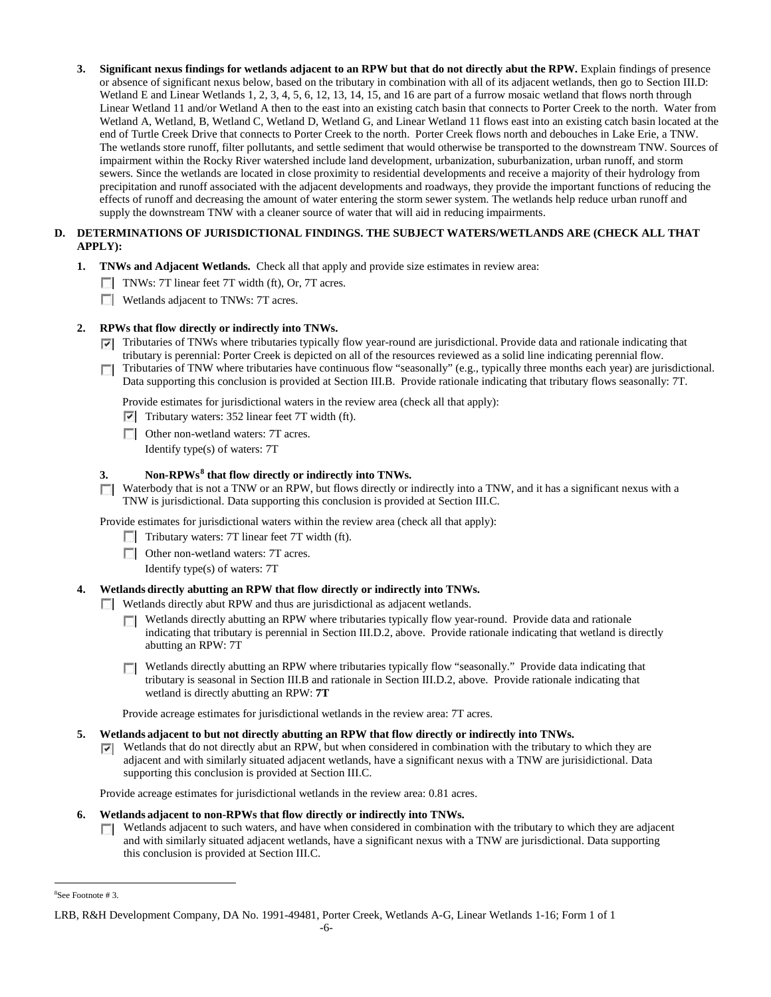**3. Significant nexus findings for wetlands adjacent to an RPW but that do not directly abut the RPW.** Explain findings of presence or absence of significant nexus below, based on the tributary in combination with all of its adjacent wetlands, then go to Section III.D: Wetland E and Linear Wetlands 1, 2, 3, 4, 5, 6, 12, 13, 14, 15, and 16 are part of a furrow mosaic wetland that flows north through Linear Wetland 11 and/or Wetland A then to the east into an existing catch basin that connects to Porter Creek to the north. Water from Wetland A, Wetland, B, Wetland C, Wetland D, Wetland G, and Linear Wetland 11 flows east into an existing catch basin located at the end of Turtle Creek Drive that connects to Porter Creek to the north. Porter Creek flows north and debouches in Lake Erie, a TNW. The wetlands store runoff, filter pollutants, and settle sediment that would otherwise be transported to the downstream TNW. Sources of impairment within the Rocky River watershed include land development, urbanization, suburbanization, urban runoff, and storm sewers. Since the wetlands are located in close proximity to residential developments and receive a majority of their hydrology from precipitation and runoff associated with the adjacent developments and roadways, they provide the important functions of reducing the effects of runoff and decreasing the amount of water entering the storm sewer system. The wetlands help reduce urban runoff and supply the downstream TNW with a cleaner source of water that will aid in reducing impairments.

## **D. DETERMINATIONS OF JURISDICTIONAL FINDINGS. THE SUBJECT WATERS/WETLANDS ARE (CHECK ALL THAT APPLY):**

- **1. TNWs and Adjacent Wetlands.** Check all that apply and provide size estimates in review area:
	- TNWs: 7T linear feet 7T width (ft), Or, 7T acres.
	- **Wetlands adjacent to TNWs: 7T acres.**

## **2. RPWs that flow directly or indirectly into TNWs.**

- Tributaries of TNWs where tributaries typically flow year-round are jurisdictional. Provide data and rationale indicating that tributary is perennial: Porter Creek is depicted on all of the resources reviewed as a solid line indicating perennial flow.
- Tributaries of TNW where tributaries have continuous flow "seasonally" (e.g., typically three months each year) are jurisdictional. **TT** Data supporting this conclusion is provided at Section III.B. Provide rationale indicating that tributary flows seasonally: 7T.

Provide estimates for jurisdictional waters in the review area (check all that apply):

- $\triangledown$  Tributary waters: 352 linear feet 7T width (ft).
- **Other non-wetland waters: 7T acres.** Identify type(s) of waters: 7T

## **3. Non-RPWs[8](#page-5-0) that flow directly or indirectly into TNWs.**

 $\Box$  Waterbody that is not a TNW or an RPW, but flows directly or indirectly into a TNW, and it has a significant nexus with a TNW is jurisdictional. Data supporting this conclusion is provided at Section III.C.

Provide estimates for jurisdictional waters within the review area (check all that apply):

- Tributary waters: 7T linear feet 7T width (ft).
- □ Other non-wetland waters: 7T acres.

Identify type(s) of waters: 7T

## **4. Wetlands directly abutting an RPW that flow directly or indirectly into TNWs.**

Wetlands directly abut RPW and thus are jurisdictional as adjacent wetlands.

- Wetlands directly abutting an RPW where tributaries typically flow year-round. Provide data and rationale  $\Box$ indicating that tributary is perennial in Section III.D.2, above. Provide rationale indicating that wetland is directly abutting an RPW: 7T
- Wetlands directly abutting an RPW where tributaries typically flow "seasonally." Provide data indicating that tributary is seasonal in Section III.B and rationale in Section III.D.2, above. Provide rationale indicating that wetland is directly abutting an RPW: **7T**

Provide acreage estimates for jurisdictional wetlands in the review area: 7T acres.

# **5. Wetlands adjacent to but not directly abutting an RPW that flow directly or indirectly into TNWs.**

 $\triangledown$  Wetlands that do not directly abut an RPW, but when considered in combination with the tributary to which they are adjacent and with similarly situated adjacent wetlands, have a significant nexus with a TNW are jurisidictional. Data supporting this conclusion is provided at Section III.C.

Provide acreage estimates for jurisdictional wetlands in the review area: 0.81 acres.

### **6. Wetlands adjacent to non-RPWs that flow directly or indirectly into TNWs.**

Wetlands adjacent to such waters, and have when considered in combination with the tributary to which they are adjacent  $\sim$ and with similarly situated adjacent wetlands, have a significant nexus with a TNW are jurisdictional. Data supporting this conclusion is provided at Section III.C.

 $\frac{1}{8}$ See Footnote # 3.

<span id="page-5-0"></span>LRB, R&H Development Company, DA No. 1991-49481, Porter Creek, Wetlands A-G, Linear Wetlands 1-16; Form 1 of 1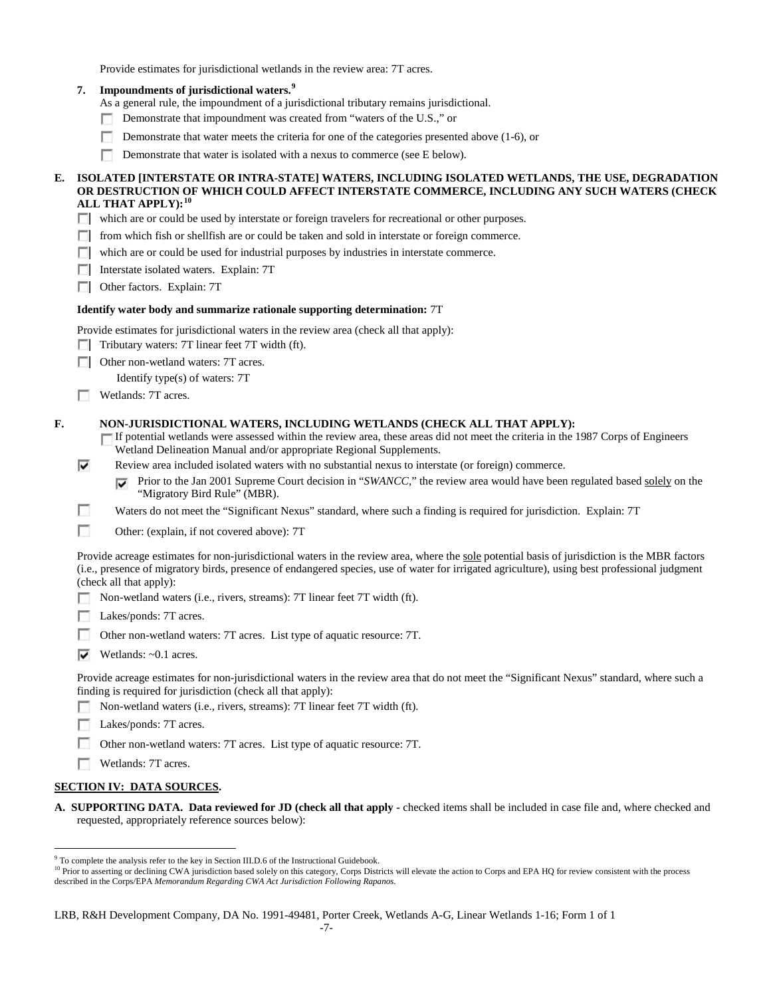Provide estimates for jurisdictional wetlands in the review area: 7T acres.

**7. Impoundments of jurisdictional waters. [9](#page-6-0)**

As a general rule, the impoundment of a jurisdictional tributary remains jurisdictional.

- $\sim$ Demonstrate that impoundment was created from "waters of the U.S.," or
- Demonstrate that water meets the criteria for one of the categories presented above (1-6), or
- Demonstrate that water is isolated with a nexus to commerce (see E below).

### **E. ISOLATED [INTERSTATE OR INTRA-STATE] WATERS, INCLUDING ISOLATED WETLANDS, THE USE, DEGRADATION OR DESTRUCTION OF WHICH COULD AFFECT INTERSTATE COMMERCE, INCLUDING ANY SUCH WATERS (CHECK ALL THAT APPLY):[10](#page-6-1)**

- which are or could be used by interstate or foreign travelers for recreational or other purposes.
- $\Box$  from which fish or shellfish are or could be taken and sold in interstate or foreign commerce.
- which are or could be used for industrial purposes by industries in interstate commerce.
- **Interstate isolated waters. Explain: 7T**
- **Other factors.** Explain: 7T

#### **Identify water body and summarize rationale supporting determination:** 7T

- Provide estimates for jurisdictional waters in the review area (check all that apply):
- $\Box$  Tributary waters: 7T linear feet 7T width (ft).
- **Other non-wetland waters: 7T acres.**

Identify type(s) of waters: 7T

Wetlands: 7T acres.

### **F. NON-JURISDICTIONAL WATERS, INCLUDING WETLANDS (CHECK ALL THAT APPLY):**

If potential wetlands were assessed within the review area, these areas did not meet the criteria in the 1987 Corps of Engineers Wetland Delineation Manual and/or appropriate Regional Supplements.

- Review area included isolated waters with no substantial nexus to interstate (or foreign) commerce. ⊽
	- Prior to the Jan 2001 Supreme Court decision in "*SWANCC*," the review area would have been regulated based solely on the ⊽ "Migratory Bird Rule" (MBR).
- г Waters do not meet the "Significant Nexus" standard, where such a finding is required for jurisdiction. Explain: 7T
- $\sim$ Other: (explain, if not covered above): 7T

Provide acreage estimates for non-jurisdictional waters in the review area, where the sole potential basis of jurisdiction is the MBR factors (i.e., presence of migratory birds, presence of endangered species, use of water for irrigated agriculture), using best professional judgment (check all that apply):

- Non-wetland waters (i.e., rivers, streams): 7T linear feet 7T width (ft).
- Lakes/ponds: 7T acres.
- Other non-wetland waters: 7T acres. List type of aquatic resource: 7T.
- $\blacktriangleright$  Wetlands: ~0.1 acres.

Provide acreage estimates for non-jurisdictional waters in the review area that do not meet the "Significant Nexus" standard, where such a finding is required for jurisdiction (check all that apply):

- Non-wetland waters (i.e., rivers, streams): 7T linear feet 7T width (ft).
- Lakes/ponds: 7T acres.
- Other non-wetland waters: 7T acres. List type of aquatic resource: 7T.
- Wetlands: 7T acres.

## **SECTION IV: DATA SOURCES.**

**A. SUPPORTING DATA. Data reviewed for JD (check all that apply -** checked items shall be included in case file and, where checked and requested, appropriately reference sources below):

<span id="page-6-0"></span><sup>&</sup>lt;sup>9</sup> To complete the analysis refer to the key in Section III.D.6 of the Instructional Guidebook.

<span id="page-6-1"></span><sup>&</sup>lt;sup>10</sup> Prior to asserting or declining CWA jurisdiction based solely on this category, Corps Districts will elevate the action to Corps and EPA HQ for review consistent with the process described in the Corps/EPA *Memorandum Regarding CWA Act Jurisdiction Following Rapanos.*